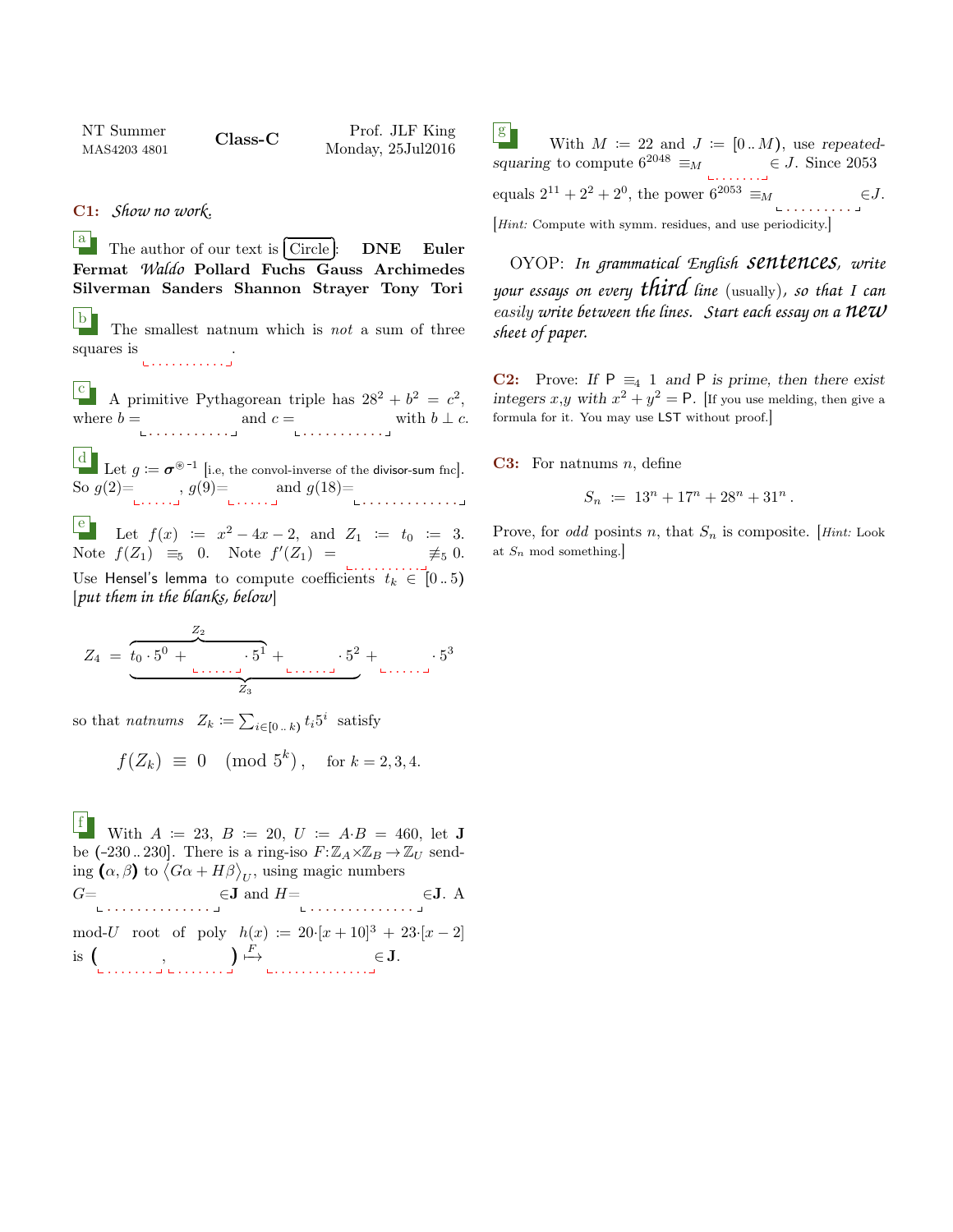NT Summer MAS4203 4801 Class-C Prof. JLF King Monday, 25Jul2016

C1: *Show no work.*

 $\begin{bmatrix} a \\ c \end{bmatrix}$  The author of our text is  $\begin{bmatrix} a \\ c \end{bmatrix}$ ✂ ĺ.  $\frac{\text{Circle}}{\text{L}}$ : DNE Euler Fermat *Waldo* Pollard Fuchs Gauss Archimedes Silverman Sanders Shannon Strayer Tony Tori

b The smallest natnum which is not a sum of three squares is .<br>. . . . . . . . . . . . <u>.</u>

A primitive Pythagorean triple has  $28^2 + b^2 = c^2$ , where  $b = \text{and } c = \text{with } b \perp c$ .

 $\frac{d}{d\mathbf{r}}$  Let  $g \coloneqq \boldsymbol{\sigma}^{\circledast - 1}$  [i.e, the convol-inverse of the divisor-sum fnc]. So  $g(2) = {g(9)} = {and \ g(18)} = {10} \dots$ 

**e** Let  $f(x) := x^2 - 4x - 2$ , and  $Z_1 := t_0 := 3$ . Note  $f(Z_1) \equiv_5 0$ . Note  $f'(Z_1) = \neq_5 0$ . Use Hensel's lemma to compute coefficients  $t_k \in [0..5)$ [*put them in the blanks, below*]

$$
Z_4 = \underbrace{z_0 \cdot 5^0 + \cdots \cdot 5^1}_{Z_3} + \cdots \cdot 5^2}_{Z_3} + \cdots \cdot 5^3
$$

so that nature  $Z_k \coloneqq \sum_{i \in [0 \dots k)} t_i 5^i$  satisfy

$$
f(Z_k) \equiv 0 \pmod{5^k}
$$
, for  $k = 2, 3, 4$ .

f With  $A := 23, B := 20, U := A \cdot B = 460, \text{ let } J$ be (-230..230]. There is a ring-iso  $F: \mathbb{Z}_A \times \mathbb{Z}_B \to \mathbb{Z}_U$  sending  $(\alpha, \beta)$  to  $\langle G\alpha + H\beta \rangle_{U}$ , using magic numbers  $G = \bigcup_{\substack{\blacksquare \text{ } \blacksquare \text{ } \blacksquare \text{ } \blacksquare \text{ } \blacksquare \text{ } \blacksquare \text{ } \blacksquare \text{ } \blacksquare \text{ } \blacksquare \text{ } \blacksquare \text{ } \blacksquare \text{ } \blacksquare \text{ } \blacksquare \text{ } \blacksquare \text{ } \blacksquare \text{ } \blacksquare \text{ } \blacksquare \text{ } \blacksquare \text{ } \blacksquare \text{ } \blacksquare \text{ } \blacksquare \text{ } \blacksquare \text{ } \blacksquare \text{ } \blacksquare \text{ } \blacksquare \text{ } \blacksquare \text{ } \blacks$ mod-U root of poly  $h(x) := 20 \cdot [x + 10]^3 + 23 \cdot [x - 2]$ is  $\left(\begin{array}{c} 0 & 0 \\ 0 & 0 \end{array}\right)$  $\big) \stackrel{F}{\longmapsto}$ . . . . . . . . . . . . . . ∈ J.

 $|g|$ With  $M \coloneqq 22$  and  $J \coloneqq [0..M)$ , use repeatedsquaring to compute  $6^{2048} \equiv_M \qquad \qquad \in J$ . Since 2053 . . . . . . . equals  $2^{11} + 2^2 + 2^0$ , the power  $6^{2053} \equiv_M$ . . . . . . . . .  $\in J$ . [*Hint*: Compute with symm. residues, and use periodicity.]

OYOP: *In grammatical English sentences, write your essays on every third line* (usually)*, so that I can* easily *write between the lines. Start each essay on a new sheet of paper.*

**C2:** Prove: If  $P \equiv_4 1$  and P is prime, then there exist integers x,y with  $x^2 + y^2 = P$ . [If you use melding, then give a formula for it. You may use LST without proof.]

**C3:** For nations *n*, define

$$
S_n \ := \ 13^n + 17^n + 28^n + 31^n \, .
$$

Prove, for odd posints n, that  $S_n$  is composite. [Hint: Look] at  $S_n$  mod something.